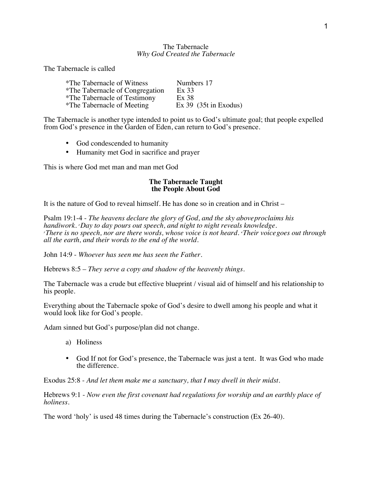## The Tabernacle *Why God Created the Tabernacle*

The Tabernacle is called

| *The Tabernacle of Witness      | Numbers 17              |
|---------------------------------|-------------------------|
| *The Tabernacle of Congregation | Ex 33                   |
| *The Tabernacle of Testimony    | Ex 38                   |
| *The Tabernacle of Meeting      | $Ex 39$ (35t in Exodus) |

The Tabernacle is another type intended to point us to God's ultimate goal; that people expelled from God's presence in the Garden of Eden, can return to God's presence.

- God condescended to humanity
- Humanity met God in sacrifice and prayer

This is where God met man and man met God

## **The Tabernacle Taught the People About God**

It is the nature of God to reveal himself. He has done so in creation and in Christ –

Psalm 19:1-4 - *The heavens declare the glory of God, and the sky aboveproclaims his handiwork. <sup>2</sup> Day to day pours out speech, and night to night reveals knowledge. 3 There is no speech, nor are there words, whose voice is not heard. <sup>4</sup> Their voicegoes out through all the earth, and their words to the end of the world.*

John 14:9 - *Whoever has seen me has seen the Father.*

Hebrews 8:5 – *They serve a copy and shadow of the heavenly things.*

The Tabernacle was a crude but effective blueprint / visual aid of himself and his relationship to his people.

Everything about the Tabernacle spoke of God's desire to dwell among his people and what it would look like for God's people.

Adam sinned but God's purpose/plan did not change.

- a) Holiness
- God If not for God's presence, the Tabernacle was just a tent. It was God who made the difference.

Exodus 25:8 - *And let them make me a sanctuary, that I may dwell in their midst.*

Hebrews 9:1 - *Now even the first covenant had regulations for worship and an earthly place of holiness.*

The word 'holy' is used 48 times during the Tabernacle's construction (Ex 26-40).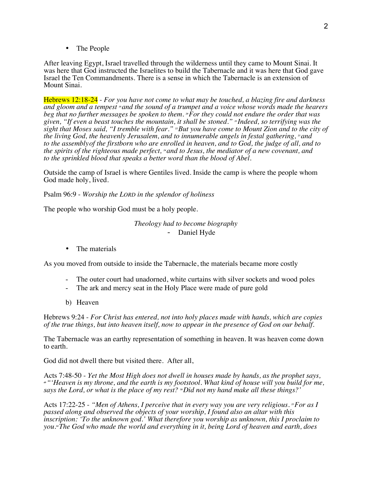• The People

After leaving Egypt, Israel travelled through the wilderness until they came to Mount Sinai. It was here that God instructed the Israelites to build the Tabernacle and it was here that God gave Israel the Ten Commandments. There is a sense in which the Tabernacle is an extension of Mount Sinai.

Hebrews 12:18-24 - *For you have not come to what may be touched, a blazing fire and darkness and gloom and a tempest <sup>19</sup> and the sound of a trumpet and a voice whose words made the hearers beg that no further messages be spoken to them. <sup>20</sup>For they could not endure the order that was given, "If even a beast touches the mountain, it shall be stoned." <sup>21</sup> Indeed, so terrifying was the sight that Moses said, "I tremble with fear." <sup>22</sup>But you have come to Mount Zion and to the city of the living God, the heavenly Jerusalem, and to innumerable angels in festal gathering, <sup>2</sup> and to the assemblyof the firstborn who are enrolled in heaven, and to God, the judge of all, and to the spirits of the righteous made perfect, <sup>24</sup> and to Jesus, the mediator of a new covenant, and to the sprinkled blood that speaks a better word than the blood of Abel.*

Outside the camp of Israel is where Gentiles lived. Inside the camp is where the people whom God made holy, lived.

Psalm 96:9 - *Worship the LORD in the splendor of holiness*

The people who worship God must be a holy people.

*Theology had to become biography* - Daniel Hyde

• The materials

As you moved from outside to inside the Tabernacle, the materials became more costly

- The outer court had unadorned, white curtains with silver sockets and wood poles
- The ark and mercy seat in the Holy Place were made of pure gold
- b) Heaven

Hebrews 9:24 - *For Christ has entered, not into holy places made with hands, which are copies of the true things, but into heaven itself, now to appear in the presence of God on our behalf.*

The Tabernacle was an earthy representation of something in heaven. It was heaven come down to earth.

God did not dwell there but visited there. After all,

Acts 7:48-50 - *Yet the Most High does not dwell in houses made by hands, as the prophet says, <sup>49</sup>"'Heaven is my throne, and the earth is my footstool. What kind of house will you build for me, says the Lord, or what is the place of my rest? <sup>50</sup>Did not my hand make all these things?'*

Acts 17:22-25 - *"Men of Athens, I perceive that in every way you are very religious. <sup>23</sup>For as I passed along and observed the objects of your worship, I found also an altar with this inscription: 'To the unknown god.' What therefore you worship as unknown, this I proclaim to you.24The God who made the world and everything in it, being Lord of heaven and earth, does*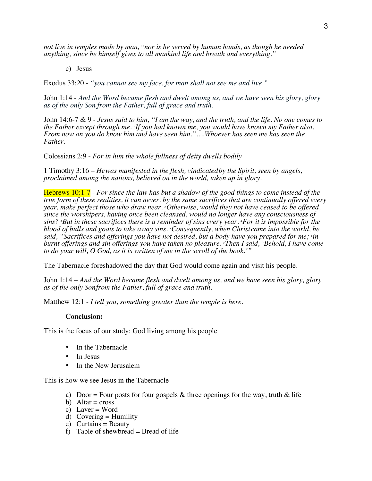*not live in temples made by man,* <sup>2</sup>*nor is he served by human hands, as though he needed anything, since he himself gives to all mankind life and breath and everything."*

c) Jesus

Exodus 33:20 - *"you cannot see my face, for man shall not see me and live."*

John 1:14 - *And the Word became flesh and dwelt among us, and we have seen his glory, glory as of the only Son from the Father, full of grace and truth.*

John 14:6-7 & 9 - *Jesus said to him, "I am the way, and the truth, and the life. No one comes to the Father except through me. <sup>7</sup> If you had known me, you would have known my Father also. From now on you do know him and have seen him."….Whoever has seen me has seen the Father.*

Colossians 2:9 - *For in him the whole fullness of deity dwells bodily*

1 Timothy 3:16 – *Hewas manifested in the flesh, vindicatedby the Spirit, seen by angels, proclaimed among the nations, believed on in the world, taken up in glory.*

Hebrews 10:1-7 - *For since the law has but a shadow of the good things to come instead of the true form of these realities, it can never, by the same sacrifices that are continually offered every year, make perfect those who draw near. <sup>2</sup> Otherwise, would they not have ceased to be offered, since the worshipers, having once been cleansed, would no longer have any consciousness of sins? <sup>3</sup> But in these sacrifices there is a reminder of sins every year. <sup>4</sup> For it is impossible for the blood of bulls and goats to take away sins. <sup>5</sup> Consequently, when Christcame into the world, he said, "Sacrifices and offerings you have not desired, but a body have you prepared for me; <sup>6</sup> in burnt offerings and sin offerings you have taken no pleasure. <sup>7</sup> Then I said, 'Behold, I have come to do your will, O God, as it is written of me in the scroll of the book.'"*

The Tabernacle foreshadowed the day that God would come again and visit his people.

John 1:14 – *And the Word became flesh and dwelt among us, and we have seen his glory, glory as of the only Sonfrom the Father, full of grace and truth.*

Matthew 12:1 - *I tell you, something greater than the temple is here.*

## **Conclusion:**

This is the focus of our study: God living among his people

- In the Tabernacle
- In Jesus
- In the New Jerusalem

This is how we see Jesus in the Tabernacle

- a) Door = Four posts for four gospels  $\&$  three openings for the way, truth  $\&$  life
- b) Altar =  $\csc$
- c) Laver = Word
- d) Covering  $=$  Humility
- e) Curtains = Beauty
- f) Table of shewbread  $=$  Bread of life